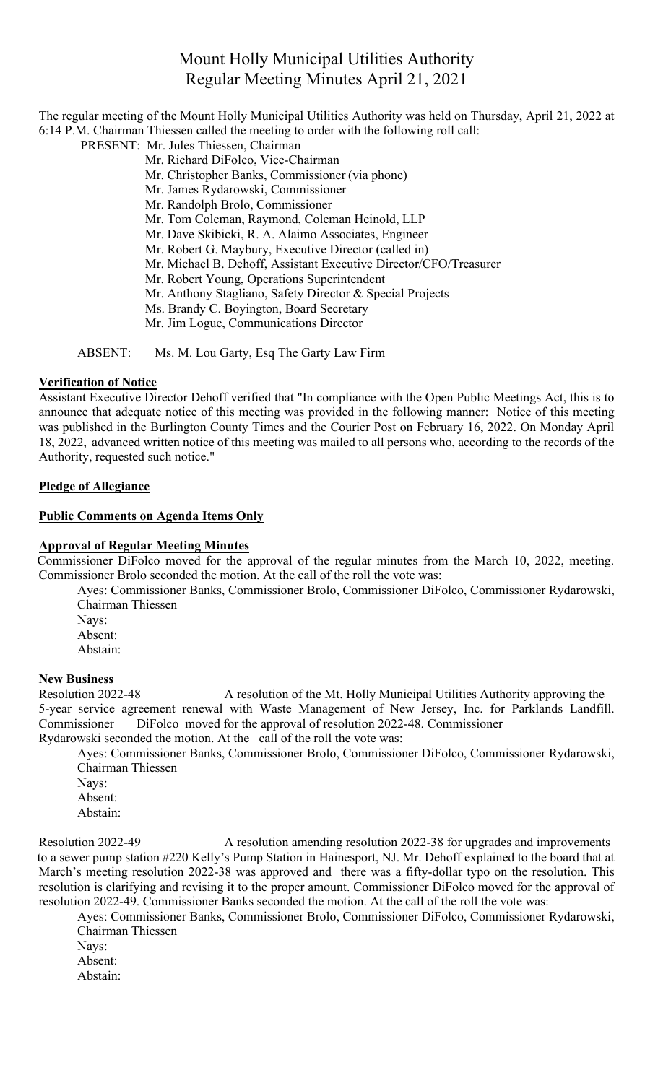# Mount Holly Municipal Utilities Authority Regular Meeting Minutes April 21, 2021

The regular meeting of the Mount Holly Municipal Utilities Authority was held on Thursday, April 21, 2022 at 6:14 P.M. Chairman Thiessen called the meeting to order with the following roll call:

- PRESENT: Mr. Jules Thiessen, Chairman
	- Mr. Richard DiFolco, Vice-Chairman
	- Mr. Christopher Banks, Commissioner (via phone)
	- Mr. James Rydarowski, Commissioner
	- Mr. Randolph Brolo, Commissioner
	- Mr. Tom Coleman, Raymond, Coleman Heinold, LLP
	- Mr. Dave Skibicki, R. A. Alaimo Associates, Engineer
	- Mr. Robert G. Maybury, Executive Director (called in)
	- Mr. Michael B. Dehoff, Assistant Executive Director/CFO/Treasurer
	- Mr. Robert Young, Operations Superintendent
	- Mr. Anthony Stagliano, Safety Director & Special Projects
	- Ms. Brandy C. Boyington, Board Secretary
	- Mr. Jim Logue, Communications Director

ABSENT: Ms. M. Lou Garty, Esq The Garty Law Firm

## **Verification of Notice**

Assistant Executive Director Dehoff verified that "In compliance with the Open Public Meetings Act, this is to announce that adequate notice of this meeting was provided in the following manner: Notice of this meeting was published in the Burlington County Times and the Courier Post on February 16, 2022. On Monday April 18, 2022, advanced written notice of this meeting was mailed to all persons who, according to the records of the Authority, requested such notice."

## **Pledge of Allegiance**

## **Public Comments on Agenda Items Only**

## **Approval of Regular Meeting Minutes**

Commissioner DiFolco moved for the approval of the regular minutes from the March 10, 2022, meeting. Commissioner Brolo seconded the motion. At the call of the roll the vote was:

Ayes: Commissioner Banks, Commissioner Brolo, Commissioner DiFolco, Commissioner Rydarowski, Chairman Thiessen

Nays: Absent: Abstain:

## **New Business**

Resolution 2022-48 A resolution of the Mt. Holly Municipal Utilities Authority approving the 5-year service agreement renewal with Waste Management of New Jersey, Inc. for Parklands Landfill. DiFolco moved for the approval of resolution 2022-48. Commissioner Rydarowski seconded the motion. At the call of the roll the vote was:

Ayes: Commissioner Banks, Commissioner Brolo, Commissioner DiFolco, Commissioner Rydarowski, Chairman Thiessen

- Nays: Absent:
- Abstain:

Resolution 2022-49 A resolution amending resolution 2022-38 for upgrades and improvements to a sewer pump station #220 Kelly's Pump Station in Hainesport, NJ. Mr. Dehoff explained to the board that at March's meeting resolution 2022-38 was approved and there was a fifty-dollar typo on the resolution. This resolution is clarifying and revising it to the proper amount. Commissioner DiFolco moved for the approval of resolution 2022-49. Commissioner Banks seconded the motion. At the call of the roll the vote was:

Ayes: Commissioner Banks, Commissioner Brolo, Commissioner DiFolco, Commissioner Rydarowski, Chairman Thiessen Nays: Absent:

Abstain: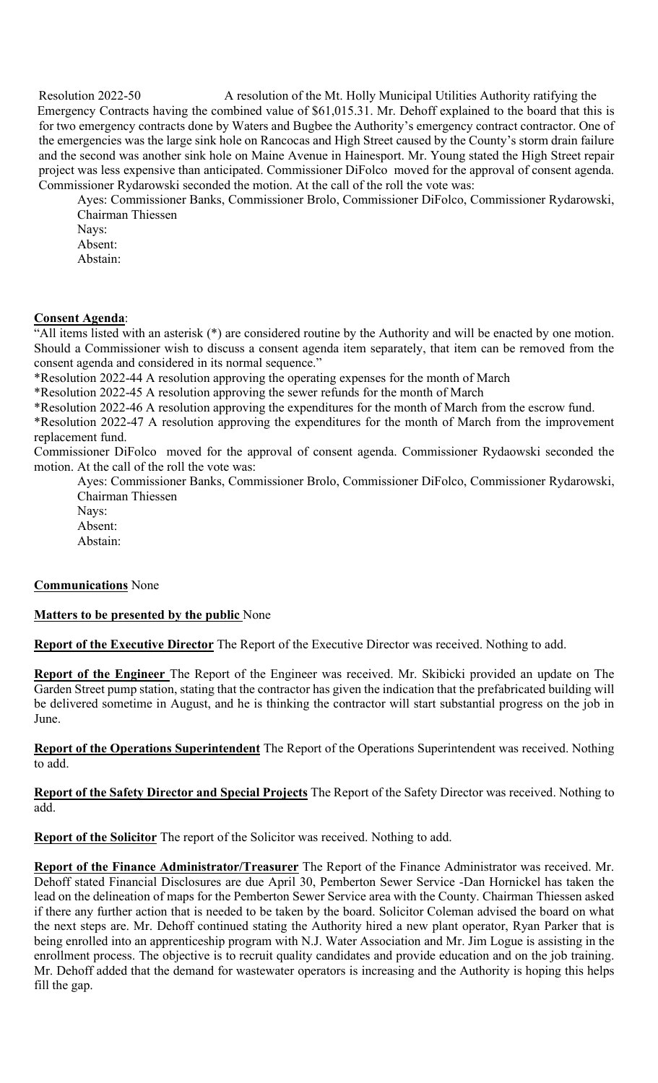Resolution 2022-50 A resolution of the Mt. Holly Municipal Utilities Authority ratifying the Emergency Contracts having the combined value of \$61,015.31. Mr. Dehoff explained to the board that this is for two emergency contracts done by Waters and Bugbee the Authority's emergency contract contractor. One of the emergencies was the large sink hole on Rancocas and High Street caused by the County's storm drain failure and the second was another sink hole on Maine Avenue in Hainesport. Mr. Young stated the High Street repair project was less expensive than anticipated. Commissioner DiFolco moved for the approval of consent agenda. Commissioner Rydarowski seconded the motion. At the call of the roll the vote was:

Ayes: Commissioner Banks, Commissioner Brolo, Commissioner DiFolco, Commissioner Rydarowski, Chairman Thiessen

Nays: Absent:

Abstain:

## **Consent Agenda**:

"All items listed with an asterisk (\*) are considered routine by the Authority and will be enacted by one motion. Should a Commissioner wish to discuss a consent agenda item separately, that item can be removed from the consent agenda and considered in its normal sequence."

\*Resolution 2022-44 A resolution approving the operating expenses for the month of March

\*Resolution 2022-45 A resolution approving the sewer refunds for the month of March

\*Resolution 2022-46 A resolution approving the expenditures for the month of March from the escrow fund.

\*Resolution 2022-47 A resolution approving the expenditures for the month of March from the improvement replacement fund.

Commissioner DiFolco moved for the approval of consent agenda. Commissioner Rydaowski seconded the motion. At the call of the roll the vote was:

Ayes: Commissioner Banks, Commissioner Brolo, Commissioner DiFolco, Commissioner Rydarowski, Chairman Thiessen

Nays: Absent:

Abstain:

**Communications** None

## **Matters to be presented by the public** None

**Report of the Executive Director** The Report of the Executive Director was received. Nothing to add.

**Report of the Engineer** The Report of the Engineer was received. Mr. Skibicki provided an update on The Garden Street pump station, stating that the contractor has given the indication that the prefabricated building will be delivered sometime in August, and he is thinking the contractor will start substantial progress on the job in June.

**Report of the Operations Superintendent** The Report of the Operations Superintendent was received. Nothing to add.

**Report of the Safety Director and Special Projects** The Report of the Safety Director was received. Nothing to add.

**Report of the Solicitor** The report of the Solicitor was received. Nothing to add.

**Report of the Finance Administrator/Treasurer** The Report of the Finance Administrator was received. Mr. Dehoff stated Financial Disclosures are due April 30, Pemberton Sewer Service -Dan Hornickel has taken the lead on the delineation of maps for the Pemberton Sewer Service area with the County. Chairman Thiessen asked if there any further action that is needed to be taken by the board. Solicitor Coleman advised the board on what the next steps are. Mr. Dehoff continued stating the Authority hired a new plant operator, Ryan Parker that is being enrolled into an apprenticeship program with N.J. Water Association and Mr. Jim Logue is assisting in the enrollment process. The objective is to recruit quality candidates and provide education and on the job training. Mr. Dehoff added that the demand for wastewater operators is increasing and the Authority is hoping this helps fill the gap.